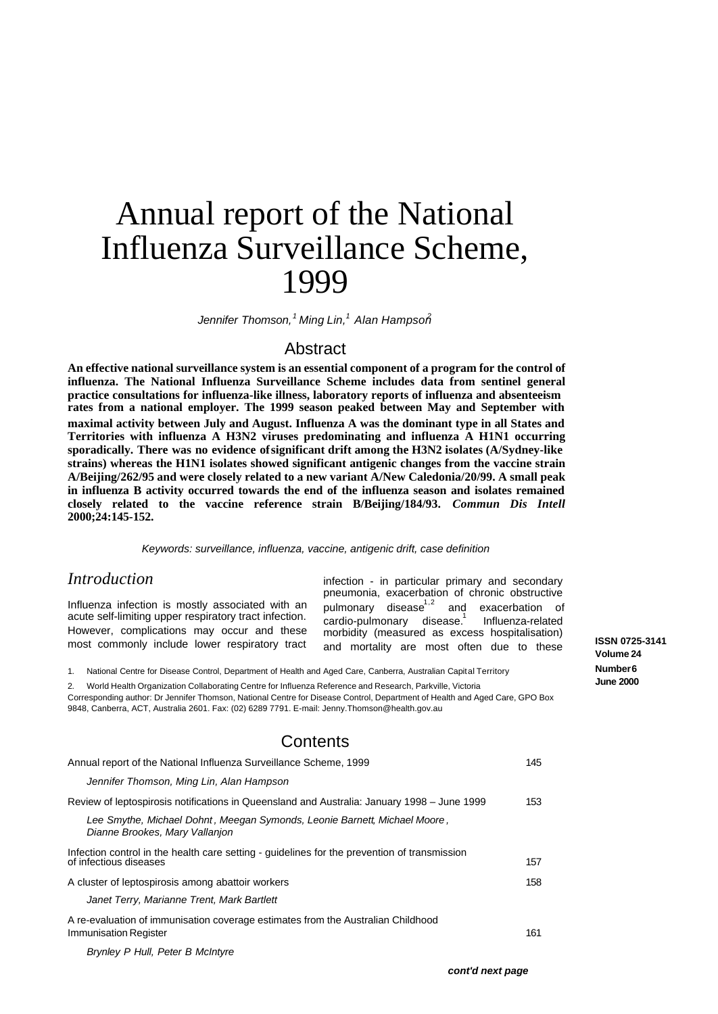# Annual report of the National Influenza Surveillance Scheme, 1999

*Jennifer Thomson,<sup>1</sup> Ming Lin,<sup>1</sup> Alan Hampson<sup>2</sup>*

## Abstract

**An effective national surveillance system is an essential component of a program for the control of influenza. The National Influenza Surveillance Scheme includes data from sentinel general practice consultations for influenza-like illness, laboratory reports of influenza and absenteeism rates from a national employer. The 1999 season peaked between May and September with maximal activity between July and August. Influenza A was the dominant type in all States and Territories with influenza A H3N2 viruses predominating and influenza A H1N1 occurring sporadically. There was no evidence of significant drift among the H3N2 isolates (A/Sydney-like strains) whereas the H1N1 isolates showed significant antigenic changes from the vaccine strain A/Beijing/262/95 and were closely related to a new variant A/New Caledonia/20/99. A small peak in influenza B activity occurred towards the end of the influenza season and isolates remained closely related to the vaccine reference strain B/Beijing/184/93.** *Commun Dis Intell* **2000;24:145-152.**

*Keywords: surveillance, influenza, vaccine, antigenic drift, case definition*

## *Introduction*

Influenza infection is mostly associated with an acute self-limiting upper respiratory tract infection. However, complications may occur and these most commonly include lower respiratory tract

infection - in particular primary and secondary pneumonia, exacerbation of chronic obstructive pulmonary disease $1,2$  and exacerbation of cardio-pulmonary disease.<sup>1</sup> Influenza-related morbidity (measured as excess hospitalisation) and mortality are most often due to these

### 1. National Centre for Disease Control, Department of Health and Aged Care, Canberra, Australian Capital Territory

2. World Health Organization Collaborating Centre for Influenza Reference and Research, Parkville, Victoria

Corresponding author: Dr Jennifer Thomson, National Centre for Disease Control, Department of Health and Aged Care, GPO Box 9848, Canberra, ACT, Australia 2601. Fax: (02) 6289 7791. E-mail: Jenny.Thomson@health.gov.au

# **Contents**

| Annual report of the National Influenza Surveillance Scheme, 1999                                                      | 145 |
|------------------------------------------------------------------------------------------------------------------------|-----|
| Jennifer Thomson, Ming Lin, Alan Hampson                                                                               |     |
| Review of leptospirosis notifications in Queensland and Australia: January 1998 – June 1999                            | 153 |
| Lee Smythe, Michael Dohnt, Meegan Symonds, Leonie Barnett, Michael Moore,<br>Dianne Brookes, Mary Vallanjon            |     |
| Infection control in the health care setting - quidelines for the prevention of transmission<br>of infectious diseases | 157 |
| A cluster of leptospirosis among abattoir workers                                                                      | 158 |
| Janet Terry, Marianne Trent, Mark Bartlett                                                                             |     |
| A re-evaluation of immunisation coverage estimates from the Australian Childhood<br>Immunisation Register              | 161 |

*Brynley P Hull, Peter B McIntyre*

**ISSN 0725-3141 Volume 24 Number 6 June 2000**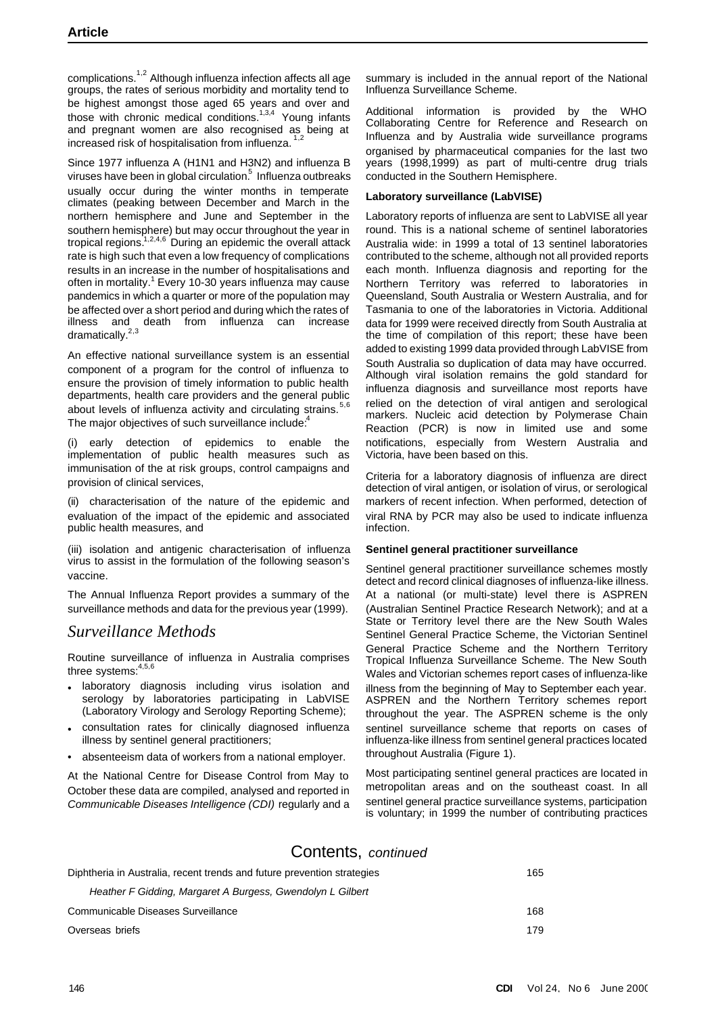complications.<sup>1,2</sup> Although influenza infection affects all age groups, the rates of serious morbidity and mortality tend to be highest amongst those aged 65 years and over and those with chronic medical conditions.<sup>1,3,4</sup> Young infants and pregnant women are also recognised as being at increased risk of hospitalisation from influenza.<sup>1,2</sup>

Since 1977 influenza A (H1N1 and H3N2) and influenza B viruses have been in global circulation. $^5\,$  Influenza outbreaks usually occur during the winter months in temperate climates (peaking between December and March in the northern hemisphere and June and September in the southern hemisphere) but may occur throughout the year in tropical regions.<sup>1,2,4,6</sup> During an epidemic the overall attack rate is high such that even a low frequency of complications results in an increase in the number of hospitalisations and often in mortality.<sup>1</sup> Every 10-30 years influenza may cause pandemics in which a quarter or more of the population may be affected over a short period and during which the rates of illness and death from influenza can increase dramatically. $2,3$ 

An effective national surveillance system is an essential component of a program for the control of influenza to ensure the provision of timely information to public health departments, health care providers and the general public about levels of influenza activity and circulating strains.<sup>5,6</sup> The major objectives of such surveillance include:

(i) early detection of epidemics to enable the implementation of public health measures such as immunisation of the at risk groups, control campaigns and provision of clinical services,

(ii) characterisation of the nature of the epidemic and evaluation of the impact of the epidemic and associated public health measures, and

(iii) isolation and antigenic characterisation of influenza virus to assist in the formulation of the following season's vaccine.

The Annual Influenza Report provides a summary of the surveillance methods and data for the previous year (1999).

# *Surveillance Methods*

Routine surveillance of influenza in Australia comprises three systems: 4,5,6

- laboratory diagnosis including virus isolation and serology by laboratories participating in LabVISE (Laboratory Virology and Serology Reporting Scheme);
- consultation rates for clinically diagnosed influenza illness by sentinel general practitioners;
- absenteeism data of workers from a national employer.

At the National Centre for Disease Control from May to October these data are compiled, analysed and reported in *Communicable Diseases Intelligence (CDI)* regularly and a summary is included in the annual report of the National Influenza Surveillance Scheme.

Additional information is provided by the WHO Collaborating Centre for Reference and Research on Influenza and by Australia wide surveillance programs organised by pharmaceutical companies for the last two years (1998,1999) as part of multi-centre drug trials conducted in the Southern Hemisphere.

## **Laboratory surveillance (LabVISE)**

Laboratory reports of influenza are sent to LabVISE all year round. This is a national scheme of sentinel laboratories Australia wide: in 1999 a total of 13 sentinel laboratories contributed to the scheme, although not all provided reports each month. Influenza diagnosis and reporting for the Northern Territory was referred to laboratories in Queensland, South Australia or Western Australia, and for Tasmania to one of the laboratories in Victoria. Additional data for 1999 were received directly from South Australia at the time of compilation of this report; these have been added to existing 1999 data provided through LabVISE from South Australia so duplication of data may have occurred. Although viral isolation remains the gold standard for influenza diagnosis and surveillance most reports have relied on the detection of viral antigen and serological markers. Nucleic acid detection by Polymerase Chain Reaction (PCR) is now in limited use and some notifications, especially from Western Australia and Victoria, have been based on this.

Criteria for a laboratory diagnosis of influenza are direct detection of viral antigen, or isolation of virus, or serological markers of recent infection. When performed, detection of viral RNA by PCR may also be used to indicate influenza infection.

### **Sentinel general practitioner surveillance**

Sentinel general practitioner surveillance schemes mostly detect and record clinical diagnoses of influenza-like illness. At a national (or multi-state) level there is ASPREN (Australian Sentinel Practice Research Network); and at a State or Territory level there are the New South Wales Sentinel General Practice Scheme, the Victorian Sentinel General Practice Scheme and the Northern Territory Tropical Influenza Surveillance Scheme. The New South Wales and Victorian schemes report cases of influenza-like illness from the beginning of May to September each year. ASPREN and the Northern Territory schemes report throughout the year. The ASPREN scheme is the only sentinel surveillance scheme that reports on cases of influenza-like illness from sentinel general practices located throughout Australia (Figure 1).

Most participating sentinel general practices are located in metropolitan areas and on the southeast coast. In all sentinel general practice surveillance systems, participation is voluntary; in 1999 the number of contributing practices

# Contents, *continued*

| Diphtheria in Australia, recent trends and future prevention strategies | 165 |
|-------------------------------------------------------------------------|-----|
| Heather F Gidding, Margaret A Burgess, Gwendolyn L Gilbert              |     |
| Communicable Diseases Surveillance                                      | 168 |
| Overseas briefs                                                         | 179 |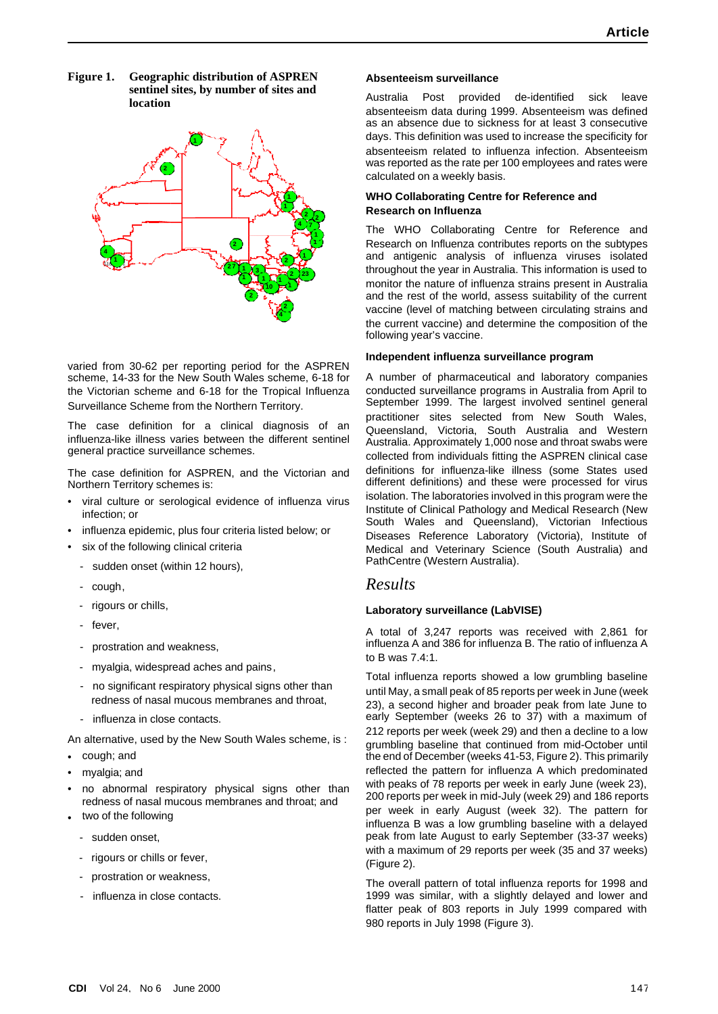**Figure 1. Geographic distribution of ASPREN sentinel sites, by number of sites and location**



varied from 30-62 per reporting period for the ASPREN scheme, 14-33 for the New South Wales scheme, 6-18 for the Victorian scheme and 6-18 for the Tropical Influenza Surveillance Scheme from the Northern Territory.

The case definition for a clinical diagnosis of an influenza-like illness varies between the different sentinel general practice surveillance schemes.

The case definition for ASPREN, and the Victorian and Northern Territory schemes is:

- viral culture or serological evidence of influenza virus infection; or
- influenza epidemic, plus four criteria listed below; or
- six of the following clinical criteria
- sudden onset (within 12 hours),
- cough,
- rigours or chills,
- fever,
- prostration and weakness,
- myalgia, widespread aches and pains,
- no significant respiratory physical signs other than redness of nasal mucous membranes and throat,
- influenza in close contacts.

An alternative, used by the New South Wales scheme, is :

- cough; and
- myalgia; and
- no abnormal respiratory physical signs other than redness of nasal mucous membranes and throat; and
- two of the following
	- sudden onset.
	- rigours or chills or fever,
	- prostration or weakness,
	- influenza in close contacts.

## **Absenteeism surveillance**

Australia Post provided de-identified sick leave absenteeism data during 1999. Absenteeism was defined as an absence due to sickness for at least 3 consecutive days. This definition was used to increase the specificity for absenteeism related to influenza infection. Absenteeism was reported as the rate per 100 employees and rates were calculated on a weekly basis.

## **WHO Collaborating Centre for Reference and Research on Influenza**

The WHO Collaborating Centre for Reference and Research on Influenza contributes reports on the subtypes and antigenic analysis of influenza viruses isolated throughout the year in Australia. This information is used to monitor the nature of influenza strains present in Australia and the rest of the world, assess suitability of the current vaccine (level of matching between circulating strains and the current vaccine) and determine the composition of the following year's vaccine.

## **Independent influenza surveillance program**

A number of pharmaceutical and laboratory companies conducted surveillance programs in Australia from April to September 1999. The largest involved sentinel general practitioner sites selected from New South Wales, Queensland, Victoria, South Australia and Western Australia. Approximately 1,000 nose and throat swabs were collected from individuals fitting the ASPREN clinical case definitions for influenza-like illness (some States used different definitions) and these were processed for virus isolation. The laboratories involved in this program were the Institute of Clinical Pathology and Medical Research (New South Wales and Queensland), Victorian Infectious Diseases Reference Laboratory (Victoria), Institute of Medical and Veterinary Science (South Australia) and PathCentre (Western Australia).

# *Results*

## **Laboratory surveillance (LabVISE)**

A total of 3,247 reports was received with 2,861 for influenza A and 386 for influenza B. The ratio of influenza A to B was 7.4:1.

Total influenza reports showed a low grumbling baseline until May, a small peak of 85 reports per week in June (week 23), a second higher and broader peak from late June to early September (weeks 26 to 37) with a maximum of 212 reports per week (week 29) and then a decline to a low grumbling baseline that continued from mid-October until the end of December (weeks 41-53, Figure 2). This primarily reflected the pattern for influenza A which predominated with peaks of 78 reports per week in early June (week 23), 200 reports per week in mid-July (week 29) and 186 reports per week in early August (week 32). The pattern for influenza B was a low grumbling baseline with a delayed peak from late August to early September (33-37 weeks) with a maximum of 29 reports per week (35 and 37 weeks) (Figure 2).

The overall pattern of total influenza reports for 1998 and 1999 was similar, with a slightly delayed and lower and flatter peak of 803 reports in July 1999 compared with 980 reports in July 1998 (Figure 3).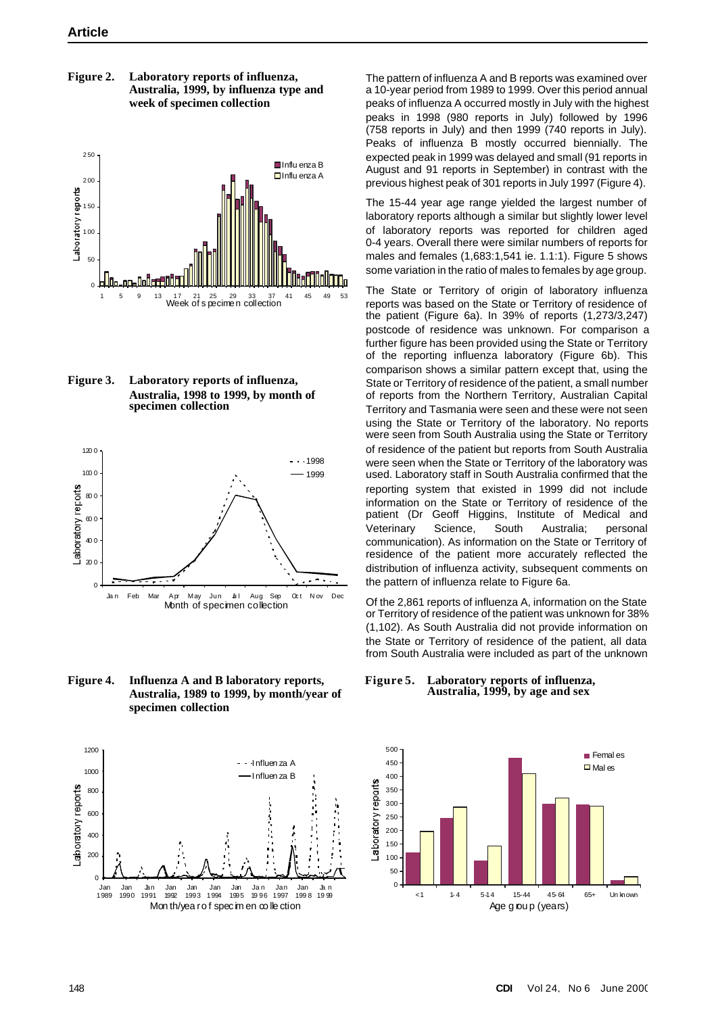**Figure 2. Laboratory reports of influenza, Australia, 1999, by influenza type and week of specimen collection**



**Figure 3. Laboratory reports of influenza, Australia, 1998 to 1999, by month of specimen collection**



**Figure 4. Influenza A and B laboratory reports, Australia, 1989 to 1999, by month/year of specimen collection**



The pattern of influenza A and B reports was examined over a 10-year period from 1989 to 1999. Over this period annual peaks of influenza A occurred mostly in July with the highest peaks in 1998 (980 reports in July) followed by 1996 (758 reports in July) and then 1999 (740 reports in July). Peaks of influenza B mostly occurred biennially. The expected peak in 1999 was delayed and small (91 reports in August and 91 reports in September) in contrast with the previous highest peak of 301 reports in July 1997 (Figure 4).

The 15-44 year age range yielded the largest number of laboratory reports although a similar but slightly lower level of laboratory reports was reported for children aged 0-4 years. Overall there were similar numbers of reports for males and females (1,683:1,541 ie. 1.1:1). Figure 5 shows some variation in the ratio of males to females by age group.

The State or Territory of origin of laboratory influenza reports was based on the State or Territory of residence of the patient (Figure 6a). In 39% of reports (1,273/3,247) postcode of residence was unknown. For comparison a further figure has been provided using the State or Territory of the reporting influenza laboratory (Figure 6b). This comparison shows a similar pattern except that, using the State or Territory of residence of the patient, a small number of reports from the Northern Territory, Australian Capital Territory and Tasmania were seen and these were not seen using the State or Territory of the laboratory. No reports were seen from South Australia using the State or Territory of residence of the patient but reports from South Australia were seen when the State or Territory of the laboratory was used. Laboratory staff in South Australia confirmed that the reporting system that existed in 1999 did not include information on the State or Territory of residence of the patient (Dr Geoff Higgins, Institute of Medical and Veterinary Science, South Australia; personal communication). As information on the State or Territory of residence of the patient more accurately reflected the distribution of influenza activity, subsequent comments on the pattern of influenza relate to Figure 6a.

Of the 2,861 reports of influenza A, information on the State or Territory of residence of the patient was unknown for 38% (1,102). As South Australia did not provide information on the State or Territory of residence of the patient, all data from South Australia were included as part of the unknown

**Figure 5. Laboratory reports of influenza, Australia, 1999, by age and sex**

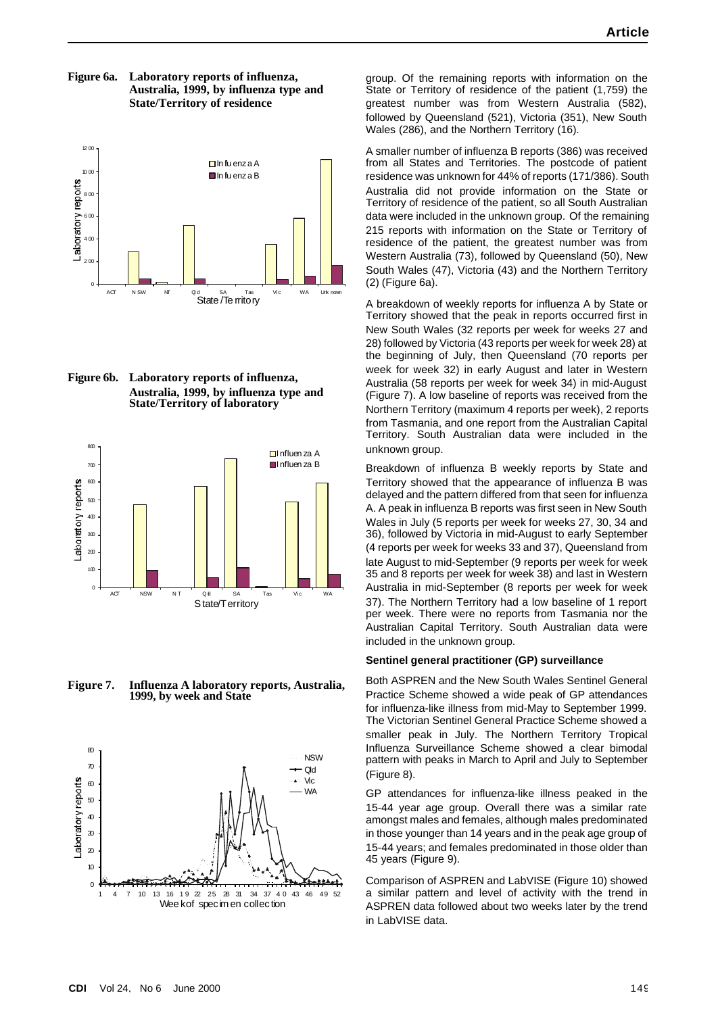**Figure 6a. Laboratory reports of influenza, Australia, 1999, by influenza type and State/Territory of residence**



**Figure 6b. Laboratory reports of influenza, Australia, 1999, by influenza type and State/Territory of laboratory**



**Figure 7. Influenza A laboratory reports, Australia, 1999, by week and State**



group. Of the remaining reports with information on the State or Territory of residence of the patient (1,759) the greatest number was from Western Australia (582), followed by Queensland (521), Victoria (351), New South Wales (286), and the Northern Territory (16).

A smaller number of influenza B reports (386) was received from all States and Territories. The postcode of patient residence was unknown for 44% of reports (171/386). South Australia did not provide information on the State or Territory of residence of the patient, so all South Australian data were included in the unknown group. Of the remaining 215 reports with information on the State or Territory of residence of the patient, the greatest number was from Western Australia (73), followed by Queensland (50), New South Wales (47), Victoria (43) and the Northern Territory (2) (Figure 6a).

A breakdown of weekly reports for influenza A by State or Territory showed that the peak in reports occurred first in New South Wales (32 reports per week for weeks 27 and 28) followed by Victoria (43 reports per week for week 28) at the beginning of July, then Queensland (70 reports per week for week 32) in early August and later in Western Australia (58 reports per week for week 34) in mid-August (Figure 7). A low baseline of reports was received from the Northern Territory (maximum 4 reports per week), 2 reports from Tasmania, and one report from the Australian Capital Territory. South Australian data were included in the unknown group.

Breakdown of influenza B weekly reports by State and Territory showed that the appearance of influenza B was delayed and the pattern differed from that seen for influenza A. A peak in influenza B reports was first seen in New South Wales in July (5 reports per week for weeks 27, 30, 34 and 36), followed by Victoria in mid-August to early September (4 reports per week for weeks 33 and 37), Queensland from late August to mid-September (9 reports per week for week 35 and 8 reports per week for week 38) and last in Western Australia in mid-September (8 reports per week for week 37). The Northern Territory had a low baseline of 1 report per week. There were no reports from Tasmania nor the Australian Capital Territory. South Australian data were included in the unknown group.

#### **Sentinel general practitioner (GP) surveillance**

Both ASPREN and the New South Wales Sentinel General Practice Scheme showed a wide peak of GP attendances for influenza-like illness from mid-May to September 1999. The Victorian Sentinel General Practice Scheme showed a smaller peak in July. The Northern Territory Tropical Influenza Surveillance Scheme showed a clear bimodal pattern with peaks in March to April and July to September (Figure 8).

GP attendances for influenza-like illness peaked in the 15-44 year age group. Overall there was a similar rate amongst males and females, although males predominated in those younger than 14 years and in the peak age group of 15-44 years; and females predominated in those older than 45 years (Figure 9).

Comparison of ASPREN and LabVISE (Figure 10) showed a similar pattern and level of activity with the trend in ASPREN data followed about two weeks later by the trend in LabVISE data.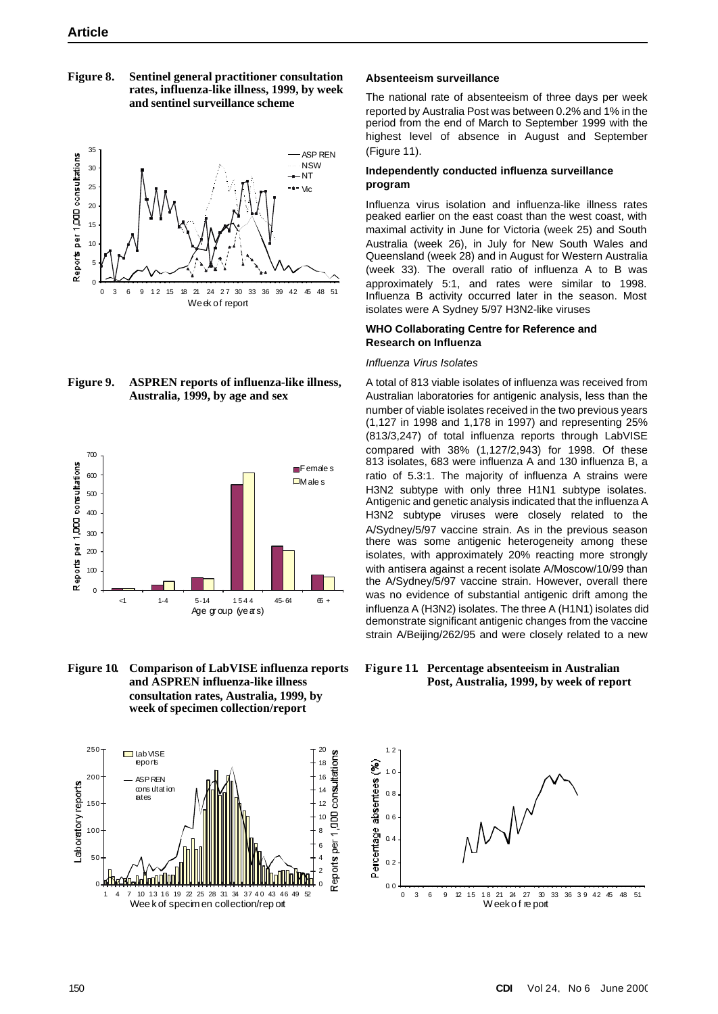**Figure 8. Sentinel general practitioner consultation rates, influenza-like illness, 1999, by week and sentinel surveillance scheme**



**Figure 9. ASPREN reports of influenza-like illness, Australia, 1999, by age and sex**



**Figure 10. Comparison of LabVISE influenza reports and ASPREN influenza-like illness consultation rates, Australia, 1999, by week of specimen collection/report**



#### **Absenteeism surveillance**

The national rate of absenteeism of three days per week reported by Australia Post was between 0.2% and 1% in the period from the end of March to September 1999 with the highest level of absence in August and September (Figure 11).

### **Independently conducted influenza surveillance program**

Influenza virus isolation and influenza-like illness rates peaked earlier on the east coast than the west coast, with maximal activity in June for Victoria (week 25) and South Australia (week 26), in July for New South Wales and Queensland (week 28) and in August for Western Australia (week 33). The overall ratio of influenza A to B was approximately 5:1, and rates were similar to 1998. Influenza B activity occurred later in the season. Most isolates were A Sydney 5/97 H3N2-like viruses

## **WHO Collaborating Centre for Reference and Research on Influenza**

## *Influenza Virus Isolates*

A total of 813 viable isolates of influenza was received from Australian laboratories for antigenic analysis, less than the number of viable isolates received in the two previous years (1,127 in 1998 and 1,178 in 1997) and representing 25% (813/3,247) of total influenza reports through LabVISE compared with 38% (1,127/2,943) for 1998. Of these 813 isolates, 683 were influenza A and 130 influenza B, a ratio of 5.3:1. The majority of influenza A strains were H3N2 subtype with only three H1N1 subtype isolates. Antigenic and genetic analysis indicated that the influenza A H3N2 subtype viruses were closely related to the A/Sydney/5/97 vaccine strain. As in the previous season there was some antigenic heterogeneity among these isolates, with approximately 20% reacting more strongly with antisera against a recent isolate A/Moscow/10/99 than the A/Sydney/5/97 vaccine strain. However, overall there was no evidence of substantial antigenic drift among the influenza A (H3N2) isolates. The three A (H1N1) isolates did demonstrate significant antigenic changes from the vaccine strain A/Beijing/262/95 and were closely related to a new

**Figure 11. Percentage absenteeism in Australian Post, Australia, 1999, by week of report**

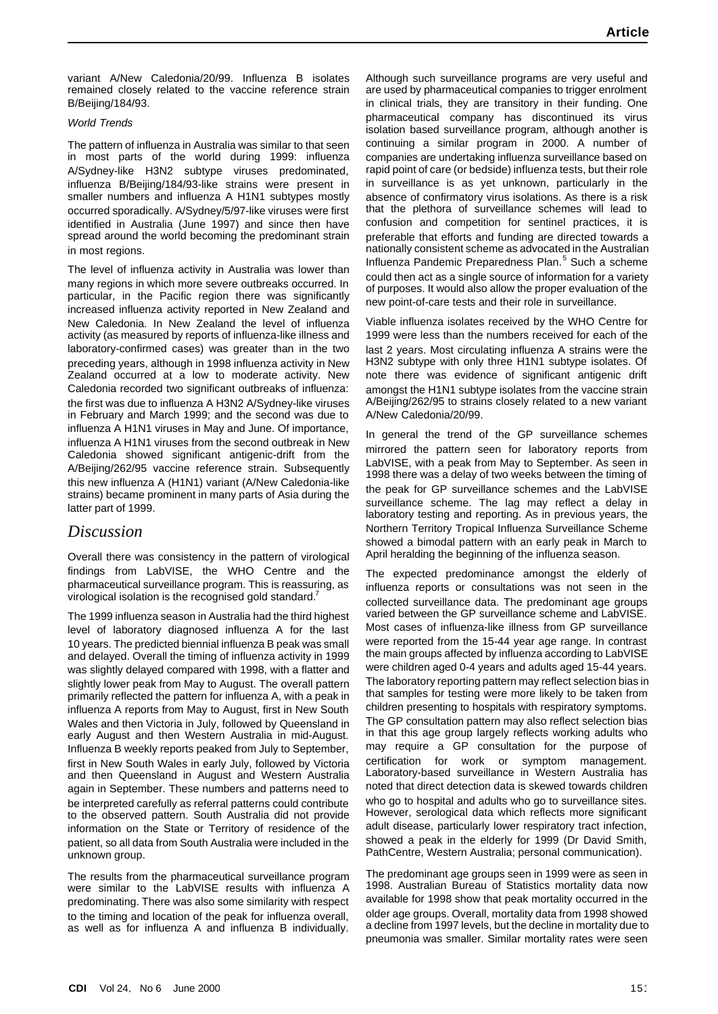variant A/New Caledonia/20/99. Influenza B isolates remained closely related to the vaccine reference strain B/Beijing/184/93.

### *World Trends*

The pattern of influenza in Australia was similar to that seen in most parts of the world during 1999: influenza A/Sydney-like H3N2 subtype viruses predominated, influenza B/Beijing/184/93-like strains were present in smaller numbers and influenza A H1N1 subtypes mostly occurred sporadically. A/Sydney/5/97-like viruses were first identified in Australia (June 1997) and since then have spread around the world becoming the predominant strain in most regions.

The level of influenza activity in Australia was lower than many regions in which more severe outbreaks occurred. In particular, in the Pacific region there was significantly increased influenza activity reported in New Zealand and New Caledonia. In New Zealand the level of influenza activity (as measured by reports of influenza-like illness and laboratory-confirmed cases) was greater than in the two preceding years, although in 1998 influenza activity in New Zealand occurred at a low to moderate activity. New Caledonia recorded two significant outbreaks of influenza: the first was due to influenza A H3N2 A/Sydney-like viruses in February and March 1999; and the second was due to influenza A H1N1 viruses in May and June. Of importance, influenza A H1N1 viruses from the second outbreak in New Caledonia showed significant antigenic-drift from the A/Beijing/262/95 vaccine reference strain. Subsequently this new influenza A (H1N1) variant (A/New Caledonia-like strains) became prominent in many parts of Asia during the latter part of 1999.

## *Discussion*

Overall there was consistency in the pattern of virological findings from LabVISE, the WHO Centre and the pharmaceutical surveillance program. This is reassuring, as virological isolation is the recognised gold standard.<sup>7</sup>

The 1999 influenza season in Australia had the third highest level of laboratory diagnosed influenza A for the last 10 years. The predicted biennial influenza B peak was small and delayed. Overall the timing of influenza activity in 1999 was slightly delayed compared with 1998, with a flatter and slightly lower peak from May to August. The overall pattern primarily reflected the pattern for influenza A, with a peak in influenza A reports from May to August, first in New South Wales and then Victoria in July, followed by Queensland in early August and then Western Australia in mid-August. Influenza B weekly reports peaked from July to September, first in New South Wales in early July, followed by Victoria and then Queensland in August and Western Australia again in September. These numbers and patterns need to be interpreted carefully as referral patterns could contribute to the observed pattern. South Australia did not provide information on the State or Territory of residence of the patient, so all data from South Australia were included in the unknown group.

The results from the pharmaceutical surveillance program were similar to the LabVISE results with influenza A predominating. There was also some similarity with respect to the timing and location of the peak for influenza overall, as well as for influenza A and influenza B individually.

Although such surveillance programs are very useful and are used by pharmaceutical companies to trigger enrolment in clinical trials, they are transitory in their funding. One pharmaceutical company has discontinued its virus isolation based surveillance program, although another is continuing a similar program in 2000. A number of companies are undertaking influenza surveillance based on rapid point of care (or bedside) influenza tests, but their role in surveillance is as yet unknown, particularly in the absence of confirmatory virus isolations. As there is a risk that the plethora of surveillance schemes will lead to confusion and competition for sentinel practices, it is preferable that efforts and funding are directed towards a nationally consistent scheme as advocated in the Australian Influenza Pandemic Preparedness Plan.<sup>5</sup> Such a scheme could then act as a single source of information for a variety of purposes. It would also allow the proper evaluation of the new point-of-care tests and their role in surveillance.

Viable influenza isolates received by the WHO Centre for 1999 were less than the numbers received for each of the last 2 years. Most circulating influenza A strains were the H3N2 subtype with only three H1N1 subtype isolates. Of note there was evidence of significant antigenic drift amongst the H1N1 subtype isolates from the vaccine strain A/Beijing/262/95 to strains closely related to a new variant A/New Caledonia/20/99.

In general the trend of the GP surveillance schemes mirrored the pattern seen for laboratory reports from LabVISE, with a peak from May to September. As seen in 1998 there was a delay of two weeks between the timing of the peak for GP surveillance schemes and the LabVISE surveillance scheme. The lag may reflect a delay in laboratory testing and reporting. As in previous years, the Northern Territory Tropical Influenza Surveillance Scheme showed a bimodal pattern with an early peak in March to April heralding the beginning of the influenza season.

The expected predominance amongst the elderly of influenza reports or consultations was not seen in the collected surveillance data. The predominant age groups varied between the GP surveillance scheme and LabVISE. Most cases of influenza-like illness from GP surveillance were reported from the 15-44 year age range. In contrast the main groups affected by influenza according to LabVISE were children aged 0-4 years and adults aged 15-44 years. The laboratory reporting pattern may reflect selection bias in that samples for testing were more likely to be taken from children presenting to hospitals with respiratory symptoms. The GP consultation pattern may also reflect selection bias in that this age group largely reflects working adults who may require a GP consultation for the purpose of certification for work or symptom management. Laboratory-based surveillance in Western Australia has noted that direct detection data is skewed towards children who go to hospital and adults who go to surveillance sites. However, serological data which reflects more significant adult disease, particularly lower respiratory tract infection, showed a peak in the elderly for 1999 (Dr David Smith, PathCentre, Western Australia; personal communication).

The predominant age groups seen in 1999 were as seen in 1998. Australian Bureau of Statistics mortality data now available for 1998 show that peak mortality occurred in the older age groups. Overall, mortality data from 1998 showed a decline from 1997 levels, but the decline in mortality due to pneumonia was smaller. Similar mortality rates were seen